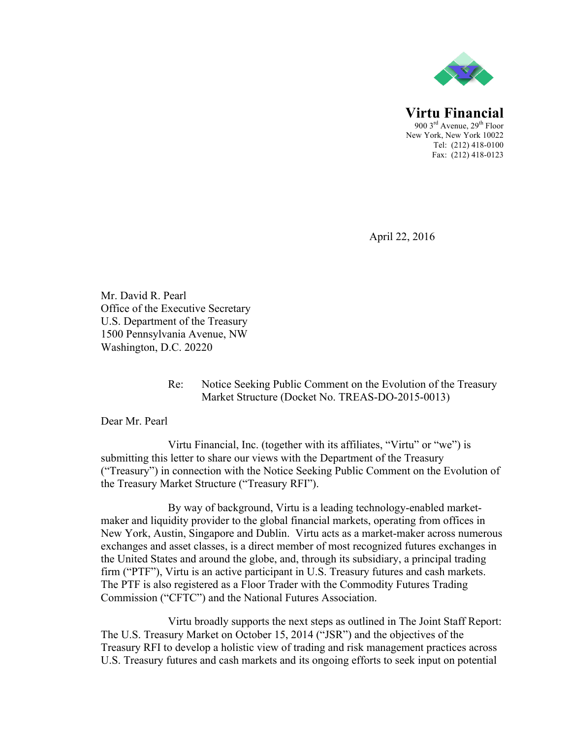

**Virtu Financial** 900  $3<sup>rd</sup>$  Avenue,  $29<sup>th</sup>$  Floor New York, New York 10022 Tel: (212) 418-0100 Fax: (212) 418-0123

April 22, 2016

Mr. David R. Pearl Office of the Executive Secretary U.S. Department of the Treasury 1500 Pennsylvania Avenue, NW Washington, D.C. 20220

## Re: Notice Seeking Public Comment on the Evolution of the Treasury Market Structure (Docket No. TREAS-DO-2015-0013)

Dear Mr. Pearl

Virtu Financial, Inc. (together with its affiliates, "Virtu" or "we") is submitting this letter to share our views with the Department of the Treasury ("Treasury") in connection with the Notice Seeking Public Comment on the Evolution of the Treasury Market Structure ("Treasury RFI").

By way of background, Virtu is a leading technology-enabled marketmaker and liquidity provider to the global financial markets, operating from offices in New York, Austin, Singapore and Dublin. Virtu acts as a market-maker across numerous exchanges and asset classes, is a direct member of most recognized futures exchanges in the United States and around the globe, and, through its subsidiary, a principal trading firm ("PTF"), Virtu is an active participant in U.S. Treasury futures and cash markets. The PTF is also registered as a Floor Trader with the Commodity Futures Trading Commission ("CFTC") and the National Futures Association.

Virtu broadly supports the next steps as outlined in The Joint Staff Report: The U.S. Treasury Market on October 15, 2014 ("JSR") and the objectives of the Treasury RFI to develop a holistic view of trading and risk management practices across U.S. Treasury futures and cash markets and its ongoing efforts to seek input on potential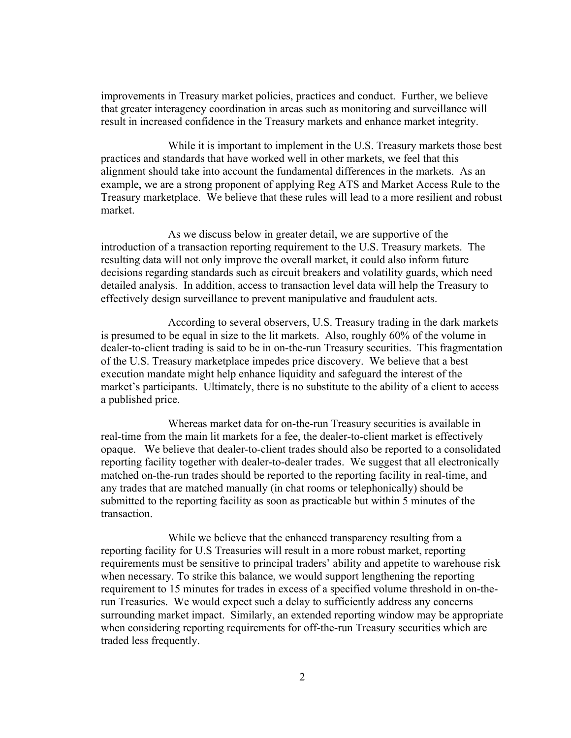improvements in Treasury market policies, practices and conduct. Further, we believe that greater interagency coordination in areas such as monitoring and surveillance will result in increased confidence in the Treasury markets and enhance market integrity.

While it is important to implement in the U.S. Treasury markets those best practices and standards that have worked well in other markets, we feel that this alignment should take into account the fundamental differences in the markets. As an example, we are a strong proponent of applying Reg ATS and Market Access Rule to the Treasury marketplace. We believe that these rules will lead to a more resilient and robust market.

As we discuss below in greater detail, we are supportive of the introduction of a transaction reporting requirement to the U.S. Treasury markets. The resulting data will not only improve the overall market, it could also inform future decisions regarding standards such as circuit breakers and volatility guards, which need detailed analysis. In addition, access to transaction level data will help the Treasury to effectively design surveillance to prevent manipulative and fraudulent acts.

According to several observers, U.S. Treasury trading in the dark markets is presumed to be equal in size to the lit markets. Also, roughly 60% of the volume in dealer-to-client trading is said to be in on-the-run Treasury securities. This fragmentation of the U.S. Treasury marketplace impedes price discovery. We believe that a best execution mandate might help enhance liquidity and safeguard the interest of the market's participants. Ultimately, there is no substitute to the ability of a client to access a published price.

Whereas market data for on-the-run Treasury securities is available in real-time from the main lit markets for a fee, the dealer-to-client market is effectively opaque. We believe that dealer-to-client trades should also be reported to a consolidated reporting facility together with dealer-to-dealer trades. We suggest that all electronically matched on-the-run trades should be reported to the reporting facility in real-time, and any trades that are matched manually (in chat rooms or telephonically) should be submitted to the reporting facility as soon as practicable but within 5 minutes of the transaction.

While we believe that the enhanced transparency resulting from a reporting facility for U.S Treasuries will result in a more robust market, reporting requirements must be sensitive to principal traders' ability and appetite to warehouse risk when necessary. To strike this balance, we would support lengthening the reporting requirement to 15 minutes for trades in excess of a specified volume threshold in on-therun Treasuries. We would expect such a delay to sufficiently address any concerns surrounding market impact. Similarly, an extended reporting window may be appropriate when considering reporting requirements for off-the-run Treasury securities which are traded less frequently.